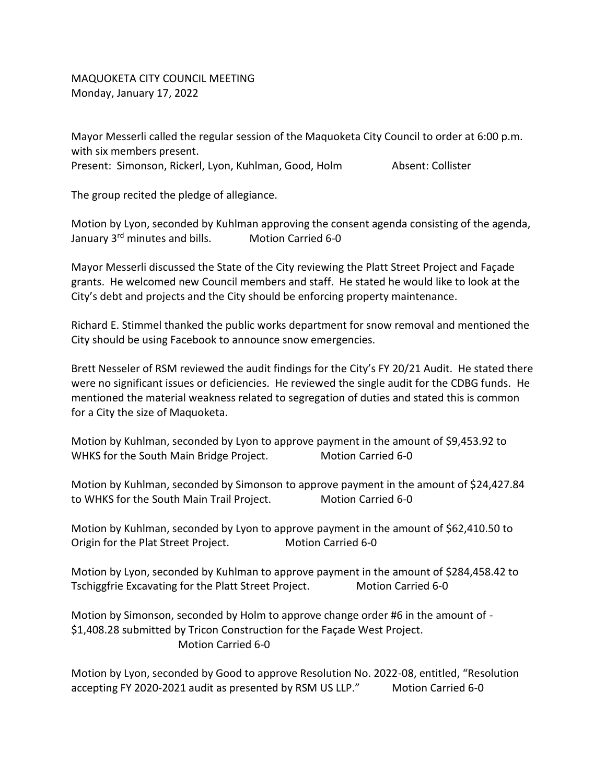MAQUOKETA CITY COUNCIL MEETING Monday, January 17, 2022

Mayor Messerli called the regular session of the Maquoketa City Council to order at 6:00 p.m. with six members present. Present: Simonson, Rickerl, Lyon, Kuhlman, Good, Holm Absent: Collister

The group recited the pledge of allegiance.

Motion by Lyon, seconded by Kuhlman approving the consent agenda consisting of the agenda, January 3<sup>rd</sup> minutes and bills. Motion Carried 6-0

Mayor Messerli discussed the State of the City reviewing the Platt Street Project and Façade grants. He welcomed new Council members and staff. He stated he would like to look at the City's debt and projects and the City should be enforcing property maintenance.

Richard E. Stimmel thanked the public works department for snow removal and mentioned the City should be using Facebook to announce snow emergencies.

Brett Nesseler of RSM reviewed the audit findings for the City's FY 20/21 Audit. He stated there were no significant issues or deficiencies. He reviewed the single audit for the CDBG funds. He mentioned the material weakness related to segregation of duties and stated this is common for a City the size of Maquoketa.

Motion by Kuhlman, seconded by Lyon to approve payment in the amount of \$9,453.92 to WHKS for the South Main Bridge Project. Motion Carried 6-0

Motion by Kuhlman, seconded by Simonson to approve payment in the amount of \$24,427.84 to WHKS for the South Main Trail Project. Motion Carried 6-0

Motion by Kuhlman, seconded by Lyon to approve payment in the amount of \$62,410.50 to Origin for the Plat Street Project. Motion Carried 6-0

Motion by Lyon, seconded by Kuhlman to approve payment in the amount of \$284,458.42 to Tschiggfrie Excavating for the Platt Street Project. Motion Carried 6-0

Motion by Simonson, seconded by Holm to approve change order #6 in the amount of - \$1,408.28 submitted by Tricon Construction for the Façade West Project. Motion Carried 6-0

Motion by Lyon, seconded by Good to approve Resolution No. 2022-08, entitled, "Resolution accepting FY 2020-2021 audit as presented by RSM US LLP." Motion Carried 6-0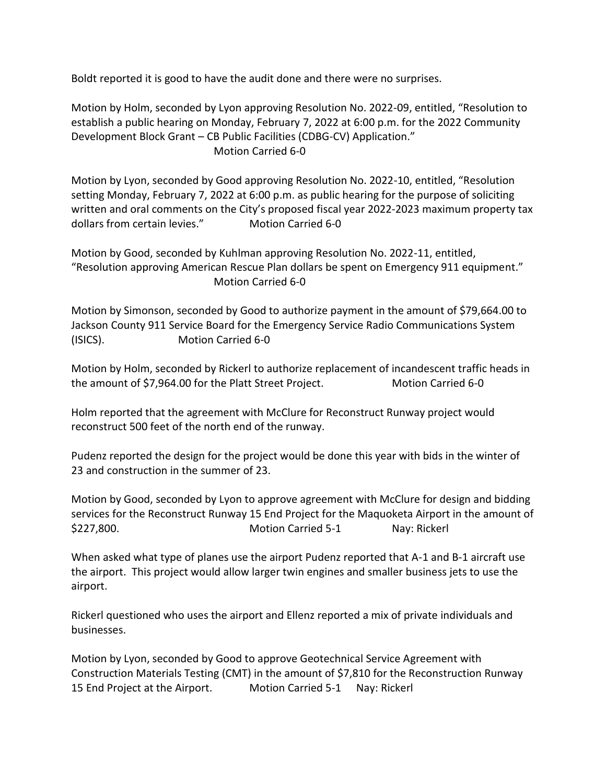Boldt reported it is good to have the audit done and there were no surprises.

Motion by Holm, seconded by Lyon approving Resolution No. 2022-09, entitled, "Resolution to establish a public hearing on Monday, February 7, 2022 at 6:00 p.m. for the 2022 Community Development Block Grant – CB Public Facilities (CDBG-CV) Application." Motion Carried 6-0

Motion by Lyon, seconded by Good approving Resolution No. 2022-10, entitled, "Resolution setting Monday, February 7, 2022 at 6:00 p.m. as public hearing for the purpose of soliciting written and oral comments on the City's proposed fiscal year 2022-2023 maximum property tax dollars from certain levies." Motion Carried 6-0

Motion by Good, seconded by Kuhlman approving Resolution No. 2022-11, entitled, "Resolution approving American Rescue Plan dollars be spent on Emergency 911 equipment." Motion Carried 6-0

Motion by Simonson, seconded by Good to authorize payment in the amount of \$79,664.00 to Jackson County 911 Service Board for the Emergency Service Radio Communications System (ISICS). Motion Carried 6-0

Motion by Holm, seconded by Rickerl to authorize replacement of incandescent traffic heads in the amount of \$7,964.00 for the Platt Street Project. Motion Carried 6-0

Holm reported that the agreement with McClure for Reconstruct Runway project would reconstruct 500 feet of the north end of the runway.

Pudenz reported the design for the project would be done this year with bids in the winter of 23 and construction in the summer of 23.

Motion by Good, seconded by Lyon to approve agreement with McClure for design and bidding services for the Reconstruct Runway 15 End Project for the Maquoketa Airport in the amount of \$227,800. Motion Carried 5-1 Nay: Rickerl

When asked what type of planes use the airport Pudenz reported that A-1 and B-1 aircraft use the airport. This project would allow larger twin engines and smaller business jets to use the airport.

Rickerl questioned who uses the airport and Ellenz reported a mix of private individuals and businesses.

Motion by Lyon, seconded by Good to approve Geotechnical Service Agreement with Construction Materials Testing (CMT) in the amount of \$7,810 for the Reconstruction Runway 15 End Project at the Airport. Motion Carried 5-1 Nay: Rickerl